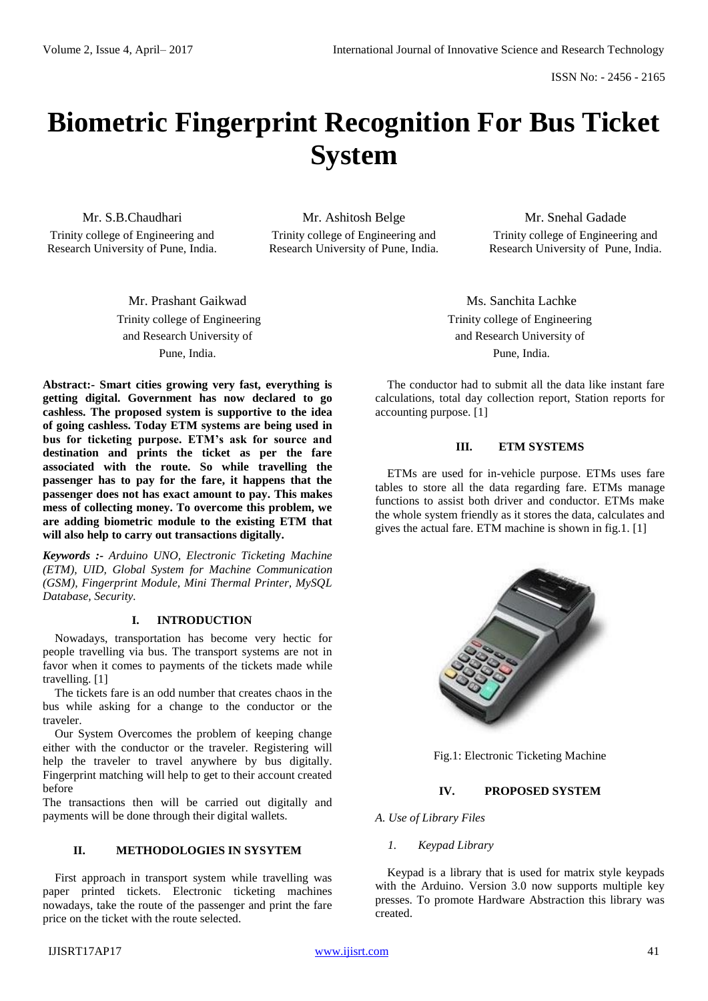# **Biometric Fingerprint Recognition For Bus Ticket System**

Mr. S.B.Chaudhari Trinity college of Engineering and Research University of Pune, India.

Mr. Ashitosh Belge Trinity college of Engineering and Research University of Pune, India.

Mr. Snehal Gadade Trinity college of Engineering and Research University of Pune, India.

Mr. Prashant Gaikwad Trinity college of Engineering and Research University of Pune, India.

**Abstract:- Smart cities growing very fast, everything is getting digital. Government has now declared to go cashless. The proposed system is supportive to the idea of going cashless. Today ETM systems are being used in bus for ticketing purpose. ETM's ask for source and destination and prints the ticket as per the fare associated with the route. So while travelling the passenger has to pay for the fare, it happens that the passenger does not has exact amount to pay. This makes mess of collecting money. To overcome this problem, we are adding biometric module to the existing ETM that will also help to carry out transactions digitally.**

*Keywords :- Arduino UNO, Electronic Ticketing Machine (ETM), UID, Global System for Machine Communication (GSM), Fingerprint Module, Mini Thermal Printer, MySQL Database, Security.*

# **I. INTRODUCTION**

Nowadays, transportation has become very hectic for people travelling via bus. The transport systems are not in favor when it comes to payments of the tickets made while travelling. [1]

The tickets fare is an odd number that creates chaos in the bus while asking for a change to the conductor or the traveler.

Our System Overcomes the problem of keeping change either with the conductor or the traveler. Registering will help the traveler to travel anywhere by bus digitally. Fingerprint matching will help to get to their account created before

The transactions then will be carried out digitally and payments will be done through their digital wallets.

# **II. METHODOLOGIES IN SYSYTEM**

First approach in transport system while travelling was paper printed tickets. Electronic ticketing machines nowadays, take the route of the passenger and print the fare price on the ticket with the route selected.

*1. Keypad Library*

*A. Use of Library Files*

Keypad is a library that is used for matrix style keypads with the Arduino. Version 3.0 now supports multiple key presses. To promote Hardware Abstraction this library was created.

Ms. Sanchita Lachke Trinity college of Engineering and Research University of Pune, India.

The conductor had to submit all the data like instant fare calculations, total day collection report, Station reports for accounting purpose. [1]

# **III. ETM SYSTEMS**

ETMs are used for in-vehicle purpose. ETMs uses fare tables to store all the data regarding fare. ETMs manage functions to assist both driver and conductor. ETMs make the whole system friendly as it stores the data, calculates and gives the actual fare. ETM machine is shown in fig.1. [1]



# Fig.1: Electronic Ticketing Machine

# **IV. PROPOSED SYSTEM**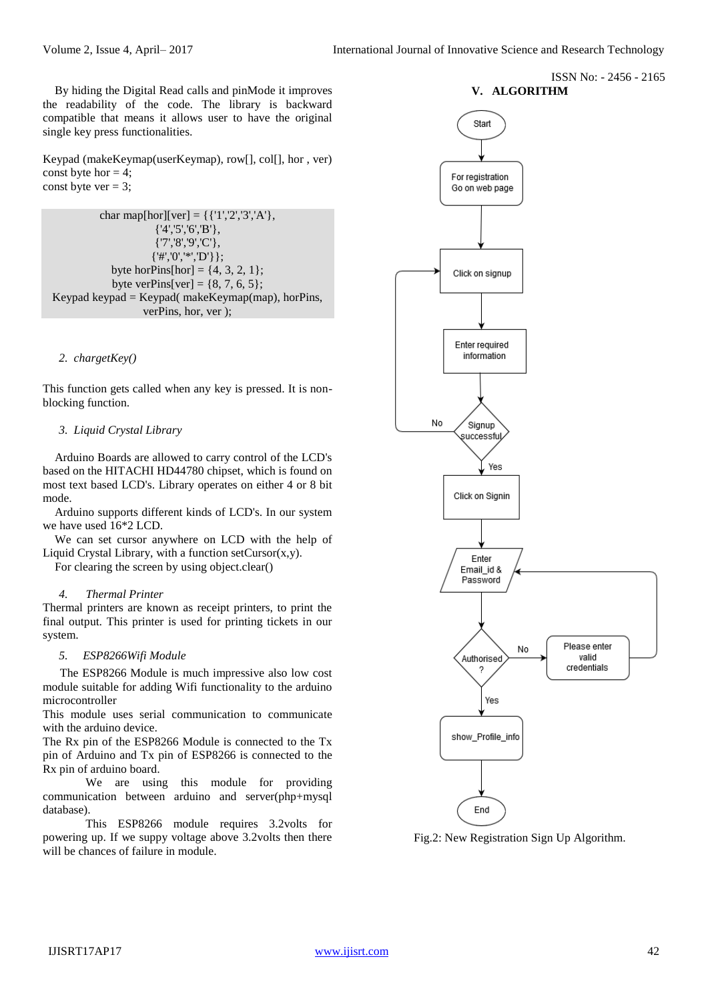ISSN No: - 2456 - 2165

By hiding the Digital Read calls and pinMode it improves the readability of the code. The library is backward compatible that means it allows user to have the original single key press functionalities.

Keypad (makeKeymap(userKeymap), row[], col[], hor , ver) const byte hor  $= 4$ ; const byte ver  $= 3$ ;

```
char map[hor][ver] = {\{ '1', '2', '3', 'A' \},
                       {'4','5','6','B'},
                       {'7','8','9','C'},
                       {'#','0','*','D'}};
             byte horPins[hor] = \{4, 3, 2, 1\};
             byte verPins[ver] = \{8, 7, 6, 5\};
Keypad keypad = Keypad makeKeymap(map), horPins,
                    verPins, hor, ver );
```
#### *2. chargetKey()*

This function gets called when any key is pressed. It is nonblocking function.

#### *3. Liquid Crystal Library*

Arduino Boards are allowed to carry control of the LCD's based on the HITACHI HD44780 chipset, which is found on most text based LCD's. Library operates on either 4 or 8 bit mode.

Arduino supports different kinds of LCD's. In our system we have used 16\*2 LCD.

We can set cursor anywhere on LCD with the help of Liquid Crystal Library, with a function setCursor $(x, y)$ .

For clearing the screen by using object.clear()

#### *4. Thermal Printer*

Thermal printers are known as receipt printers, to print the final output. This printer is used for printing tickets in our system.

#### *5. ESP8266Wifi Module*

The ESP8266 Module is much impressive also low cost module suitable for adding Wifi functionality to the arduino microcontroller

This module uses serial communication to communicate with the arduino device.

The Rx pin of the ESP8266 Module is connected to the Tx pin of Arduino and Tx pin of ESP8266 is connected to the Rx pin of arduino board.

We are using this module for providing communication between arduino and server(php+mysql database).

This ESP8266 module requires 3.2volts for powering up. If we suppy voltage above 3.2volts then there will be chances of failure in module.



Fig.2: New Registration Sign Up Algorithm.